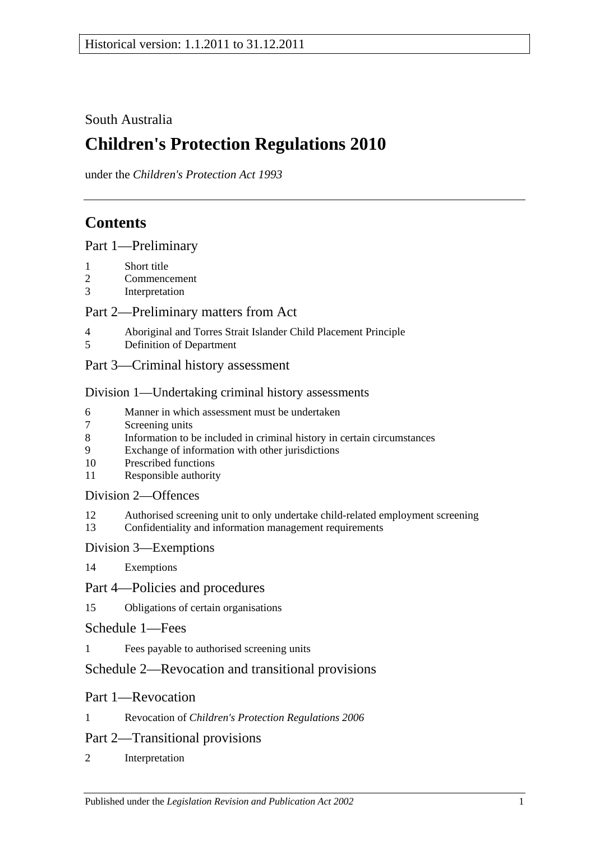## South Australia

# **Children's Protection Regulations 2010**

under the *Children's Protection Act 1993*

## **Contents**

[Part 1—Preliminary](#page-1-0)

- 1 [Short title](#page-1-1)
- 2 [Commencement](#page-1-2)
- 3 [Interpretation](#page-1-3)

## [Part 2—Preliminary matters from Act](#page-1-4)

- 4 [Aboriginal and Torres Strait Islander Child Placement Principle](#page-1-5)<br>5 Definition of Department
- 5 [Definition of Department](#page-2-0)
- [Part 3—Criminal history assessment](#page-2-1)

## [Division 1—Undertaking criminal history assessments](#page-2-2)

- 6 [Manner in which assessment must be undertaken](#page-2-3)
- 7 [Screening units](#page-3-0)
- 8 [Information to be included in criminal history in certain circumstances](#page-3-1)
- 9 [Exchange of information with other jurisdictions](#page-3-2)
- 10 [Prescribed functions](#page-3-3)
- 11 [Responsible authority](#page-4-0)

## [Division 2—Offences](#page-4-1)

- 12 [Authorised screening unit to only undertake child-related employment screening](#page-4-2)
- 13 [Confidentiality and information management requirements](#page-4-3)

## [Division 3—Exemptions](#page-5-0)

14 [Exemptions](#page-5-1)

## [Part 4—Policies and procedures](#page-6-0)

15 [Obligations of certain organisations](#page-6-1)

## [Schedule 1—Fees](#page-6-2)

1 [Fees payable to authorised screening units](#page-6-3)

## [Schedule 2—Revocation and transitional provisions](#page-7-0)

## Part 1—Revocation

1 Revocation of *[Children's Protection Regulations](#page-7-1) 2006*

## Part 2—Transitional provisions

2 [Interpretation](#page-7-2)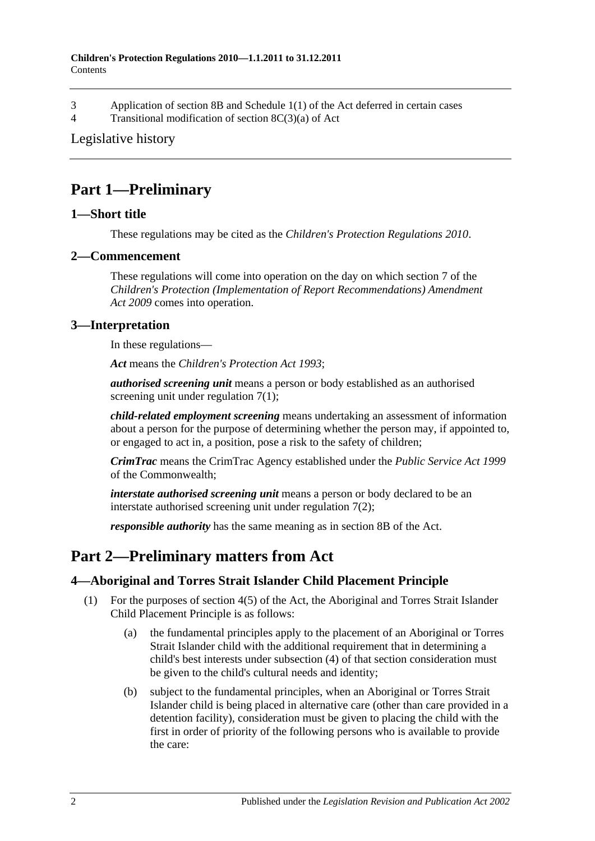- 3 Application of section 8B and Schedule [1\(1\) of the Act deferred in certain cases](#page-7-3)
- 4 [Transitional modification of section](#page-9-0) 8C(3)(a) of Act

## [Legislative history](#page-10-0)

## <span id="page-1-0"></span>**Part 1—Preliminary**

## <span id="page-1-1"></span>**1—Short title**

These regulations may be cited as the *Children's Protection Regulations 2010*.

### <span id="page-1-2"></span>**2—Commencement**

These regulations will come into operation on the day on which section 7 of the *[Children's Protection \(Implementation of Report Recommendations\) Amendment](http://www.legislation.sa.gov.au/index.aspx?action=legref&type=act&legtitle=Childrens%20Protection%20(Implementation%20of%20Report%20Recommendations)%20Amendment%20Act%202009)  Act [2009](http://www.legislation.sa.gov.au/index.aspx?action=legref&type=act&legtitle=Childrens%20Protection%20(Implementation%20of%20Report%20Recommendations)%20Amendment%20Act%202009)* comes into operation.

## <span id="page-1-3"></span>**3—Interpretation**

In these regulations—

*Act* means the *[Children's Protection Act](http://www.legislation.sa.gov.au/index.aspx?action=legref&type=act&legtitle=Childrens%20Protection%20Act%201993) 1993*;

*authorised screening unit* means a person or body established as an authorised screening unit under [regulation](#page-3-4) 7(1);

*child-related employment screening* means undertaking an assessment of information about a person for the purpose of determining whether the person may, if appointed to, or engaged to act in, a position, pose a risk to the safety of children;

*CrimTrac* means the CrimTrac Agency established under the *Public Service Act 1999* of the Commonwealth;

*interstate authorised screening unit* means a person or body declared to be an interstate authorised screening unit under [regulation](#page-3-5) 7(2);

*responsible authority* has the same meaning as in section 8B of the Act.

## <span id="page-1-4"></span>**Part 2—Preliminary matters from Act**

## <span id="page-1-5"></span>**4—Aboriginal and Torres Strait Islander Child Placement Principle**

- <span id="page-1-6"></span>(1) For the purposes of section 4(5) of the Act, the Aboriginal and Torres Strait Islander Child Placement Principle is as follows:
	- (a) the fundamental principles apply to the placement of an Aboriginal or Torres Strait Islander child with the additional requirement that in determining a child's best interests under subsection (4) of that section consideration must be given to the child's cultural needs and identity;
	- (b) subject to the fundamental principles, when an Aboriginal or Torres Strait Islander child is being placed in alternative care (other than care provided in a detention facility), consideration must be given to placing the child with the first in order of priority of the following persons who is available to provide the care: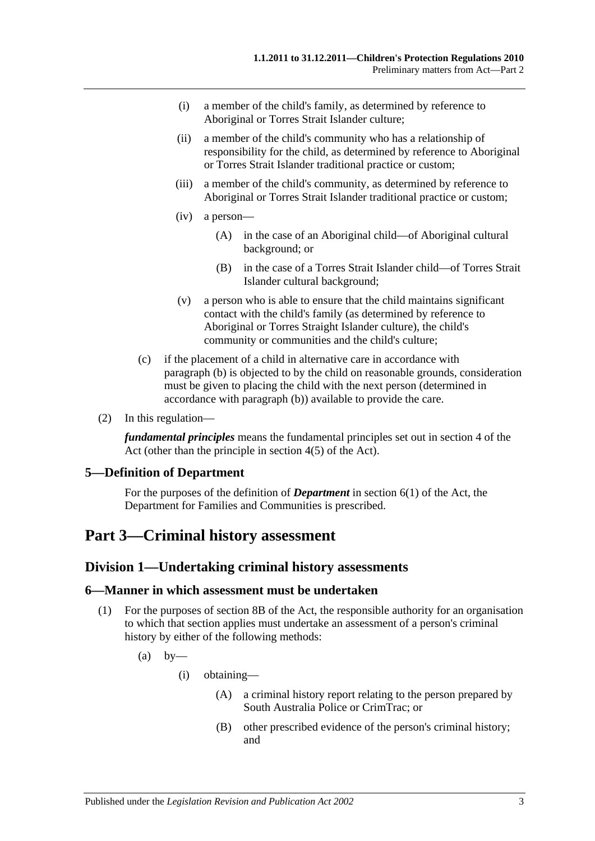- (i) a member of the child's family, as determined by reference to Aboriginal or Torres Strait Islander culture;
- (ii) a member of the child's community who has a relationship of responsibility for the child, as determined by reference to Aboriginal or Torres Strait Islander traditional practice or custom;
- (iii) a member of the child's community, as determined by reference to Aboriginal or Torres Strait Islander traditional practice or custom;
- (iv) a person—
	- (A) in the case of an Aboriginal child—of Aboriginal cultural background; or
	- (B) in the case of a Torres Strait Islander child—of Torres Strait Islander cultural background;
- (v) a person who is able to ensure that the child maintains significant contact with the child's family (as determined by reference to Aboriginal or Torres Straight Islander culture), the child's community or communities and the child's culture;
- (c) if the placement of a child in alternative care in accordance with [paragraph](#page-1-6) (b) is objected to by the child on reasonable grounds, consideration must be given to placing the child with the next person (determined in accordance with [paragraph](#page-1-6) (b)) available to provide the care.
- (2) In this regulation—

*fundamental principles* means the fundamental principles set out in section 4 of the Act (other than the principle in section 4(5) of the Act).

### <span id="page-2-0"></span>**5—Definition of Department**

For the purposes of the definition of *Department* in section 6(1) of the Act, the Department for Families and Communities is prescribed.

## <span id="page-2-2"></span><span id="page-2-1"></span>**Part 3—Criminal history assessment**

### **Division 1—Undertaking criminal history assessments**

#### <span id="page-2-3"></span>**6—Manner in which assessment must be undertaken**

- <span id="page-2-4"></span>(1) For the purposes of section 8B of the Act, the responsible authority for an organisation to which that section applies must undertake an assessment of a person's criminal history by either of the following methods:
	- $(a)$  by—
		- (i) obtaining—
			- (A) a criminal history report relating to the person prepared by South Australia Police or CrimTrac; or
			- (B) other prescribed evidence of the person's criminal history; and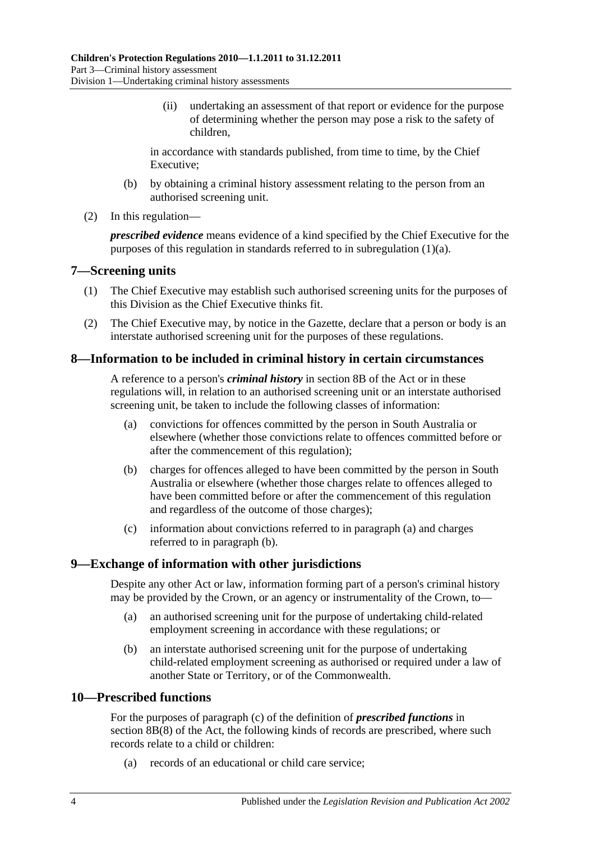(ii) undertaking an assessment of that report or evidence for the purpose of determining whether the person may pose a risk to the safety of children,

in accordance with standards published, from time to time, by the Chief Executive;

- (b) by obtaining a criminal history assessment relating to the person from an authorised screening unit.
- (2) In this regulation—

*prescribed evidence* means evidence of a kind specified by the Chief Executive for the purposes of this regulation in standards referred to in [subregulation](#page-2-4) (1)(a).

#### <span id="page-3-4"></span><span id="page-3-0"></span>**7—Screening units**

- (1) The Chief Executive may establish such authorised screening units for the purposes of this Division as the Chief Executive thinks fit.
- <span id="page-3-5"></span>(2) The Chief Executive may, by notice in the Gazette, declare that a person or body is an interstate authorised screening unit for the purposes of these regulations.

### <span id="page-3-1"></span>**8—Information to be included in criminal history in certain circumstances**

A reference to a person's *criminal history* in section 8B of the Act or in these regulations will, in relation to an authorised screening unit or an interstate authorised screening unit, be taken to include the following classes of information:

- <span id="page-3-6"></span>(a) convictions for offences committed by the person in South Australia or elsewhere (whether those convictions relate to offences committed before or after the commencement of this regulation);
- <span id="page-3-7"></span>(b) charges for offences alleged to have been committed by the person in South Australia or elsewhere (whether those charges relate to offences alleged to have been committed before or after the commencement of this regulation and regardless of the outcome of those charges);
- (c) information about convictions referred to in [paragraph](#page-3-6) (a) and charges referred to in [paragraph](#page-3-7) (b).

#### <span id="page-3-8"></span><span id="page-3-2"></span>**9—Exchange of information with other jurisdictions**

Despite any other Act or law, information forming part of a person's criminal history may be provided by the Crown, or an agency or instrumentality of the Crown, to—

- (a) an authorised screening unit for the purpose of undertaking child-related employment screening in accordance with these regulations; or
- (b) an interstate authorised screening unit for the purpose of undertaking child-related employment screening as authorised or required under a law of another State or Territory, or of the Commonwealth.

#### <span id="page-3-3"></span>**10—Prescribed functions**

For the purposes of paragraph (c) of the definition of *prescribed functions* in section 8B(8) of the Act, the following kinds of records are prescribed, where such records relate to a child or children:

(a) records of an educational or child care service;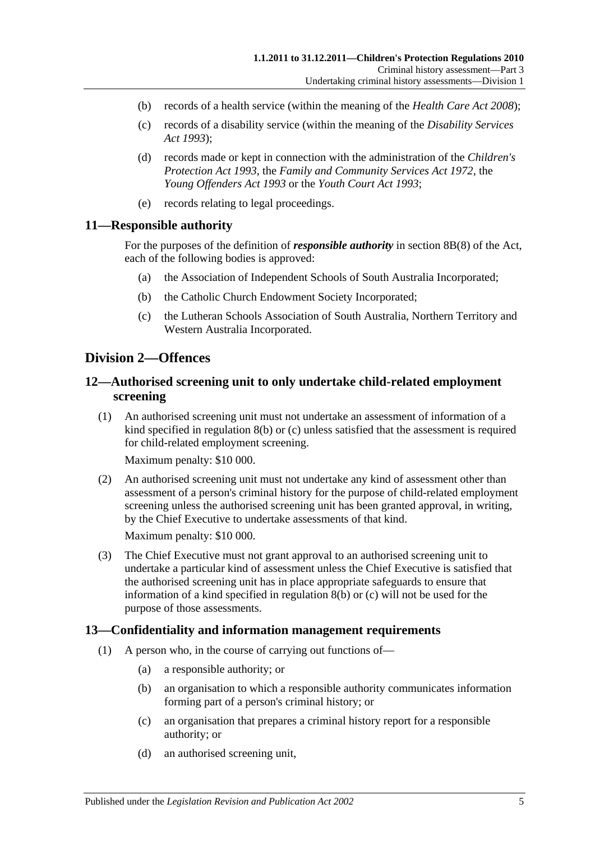- (b) records of a health service (within the meaning of the *[Health Care Act](http://www.legislation.sa.gov.au/index.aspx?action=legref&type=act&legtitle=Health%20Care%20Act%202008) 2008*);
- (c) records of a disability service (within the meaning of the *[Disability Services](http://www.legislation.sa.gov.au/index.aspx?action=legref&type=act&legtitle=Disability%20Services%20Act%201993)  Act [1993](http://www.legislation.sa.gov.au/index.aspx?action=legref&type=act&legtitle=Disability%20Services%20Act%201993)*);
- (d) records made or kept in connection with the administration of the *[Children's](http://www.legislation.sa.gov.au/index.aspx?action=legref&type=act&legtitle=Childrens%20Protection%20Act%201993)  [Protection Act](http://www.legislation.sa.gov.au/index.aspx?action=legref&type=act&legtitle=Childrens%20Protection%20Act%201993) 1993*, the *[Family and Community Services Act](http://www.legislation.sa.gov.au/index.aspx?action=legref&type=act&legtitle=Family%20and%20Community%20Services%20Act%201972) 1972*, the *[Young Offenders Act](http://www.legislation.sa.gov.au/index.aspx?action=legref&type=act&legtitle=Young%20Offenders%20Act%201993) 1993* or the *[Youth Court Act](http://www.legislation.sa.gov.au/index.aspx?action=legref&type=act&legtitle=Youth%20Court%20Act%201993) 1993*;
- (e) records relating to legal proceedings.

#### <span id="page-4-0"></span>**11—Responsible authority**

For the purposes of the definition of *responsible authority* in section 8B(8) of the Act, each of the following bodies is approved:

- (a) the Association of Independent Schools of South Australia Incorporated;
- (b) the Catholic Church Endowment Society Incorporated;
- (c) the Lutheran Schools Association of South Australia, Northern Territory and Western Australia Incorporated.

#### <span id="page-4-1"></span>**Division 2—Offences**

### <span id="page-4-2"></span>**12—Authorised screening unit to only undertake child-related employment screening**

(1) An authorised screening unit must not undertake an assessment of information of a kind specified in [regulation](#page-3-7) 8(b) or [\(c\)](#page-3-8) unless satisfied that the assessment is required for child-related employment screening.

Maximum penalty: \$10 000.

(2) An authorised screening unit must not undertake any kind of assessment other than assessment of a person's criminal history for the purpose of child-related employment screening unless the authorised screening unit has been granted approval, in writing, by the Chief Executive to undertake assessments of that kind.

Maximum penalty: \$10 000.

(3) The Chief Executive must not grant approval to an authorised screening unit to undertake a particular kind of assessment unless the Chief Executive is satisfied that the authorised screening unit has in place appropriate safeguards to ensure that information of a kind specified in [regulation](#page-3-7) 8(b) or [\(c\)](#page-3-8) will not be used for the purpose of those assessments.

#### <span id="page-4-3"></span>**13—Confidentiality and information management requirements**

- (1) A person who, in the course of carrying out functions of—
	- (a) a responsible authority; or
	- (b) an organisation to which a responsible authority communicates information forming part of a person's criminal history; or
	- (c) an organisation that prepares a criminal history report for a responsible authority; or
	- (d) an authorised screening unit,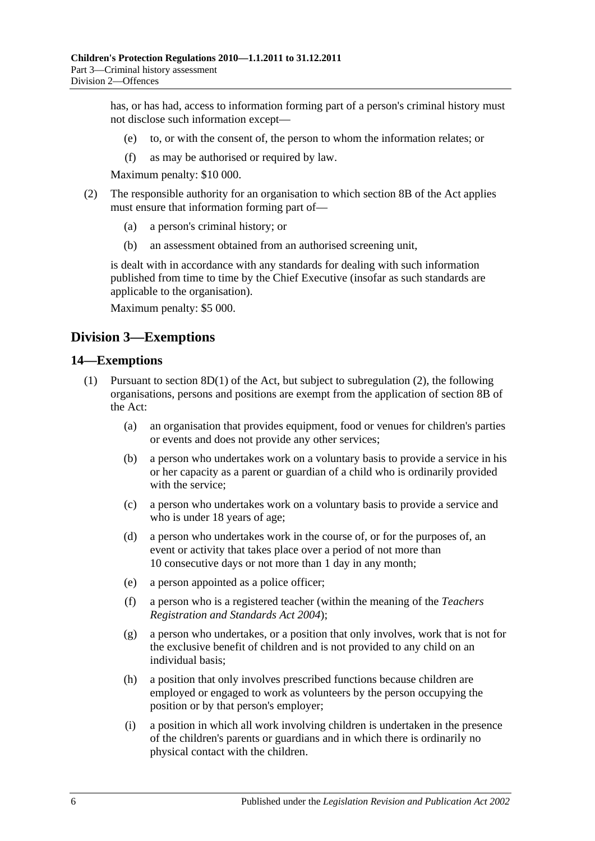has, or has had, access to information forming part of a person's criminal history must not disclose such information except—

- (e) to, or with the consent of, the person to whom the information relates; or
- (f) as may be authorised or required by law.

Maximum penalty: \$10 000.

- (2) The responsible authority for an organisation to which section 8B of the Act applies must ensure that information forming part of—
	- (a) a person's criminal history; or
	- (b) an assessment obtained from an authorised screening unit,

is dealt with in accordance with any standards for dealing with such information published from time to time by the Chief Executive (insofar as such standards are applicable to the organisation).

Maximum penalty: \$5 000.

## <span id="page-5-0"></span>**Division 3—Exemptions**

#### <span id="page-5-2"></span><span id="page-5-1"></span>**14—Exemptions**

- <span id="page-5-4"></span><span id="page-5-3"></span>(1) Pursuant to section 8D(1) of the Act, but subject to [subregulation](#page-6-4) (2), the following organisations, persons and positions are exempt from the application of section 8B of the Act:
	- (a) an organisation that provides equipment, food or venues for children's parties or events and does not provide any other services;
	- (b) a person who undertakes work on a voluntary basis to provide a service in his or her capacity as a parent or guardian of a child who is ordinarily provided with the service:
	- (c) a person who undertakes work on a voluntary basis to provide a service and who is under 18 years of age;
	- (d) a person who undertakes work in the course of, or for the purposes of, an event or activity that takes place over a period of not more than 10 consecutive days or not more than 1 day in any month;
	- (e) a person appointed as a police officer;
	- (f) a person who is a registered teacher (within the meaning of the *[Teachers](http://www.legislation.sa.gov.au/index.aspx?action=legref&type=act&legtitle=Teachers%20Registration%20and%20Standards%20Act%202004)  [Registration and Standards Act](http://www.legislation.sa.gov.au/index.aspx?action=legref&type=act&legtitle=Teachers%20Registration%20and%20Standards%20Act%202004) 2004*);
	- (g) a person who undertakes, or a position that only involves, work that is not for the exclusive benefit of children and is not provided to any child on an individual basis;
	- (h) a position that only involves prescribed functions because children are employed or engaged to work as volunteers by the person occupying the position or by that person's employer;
	- (i) a position in which all work involving children is undertaken in the presence of the children's parents or guardians and in which there is ordinarily no physical contact with the children.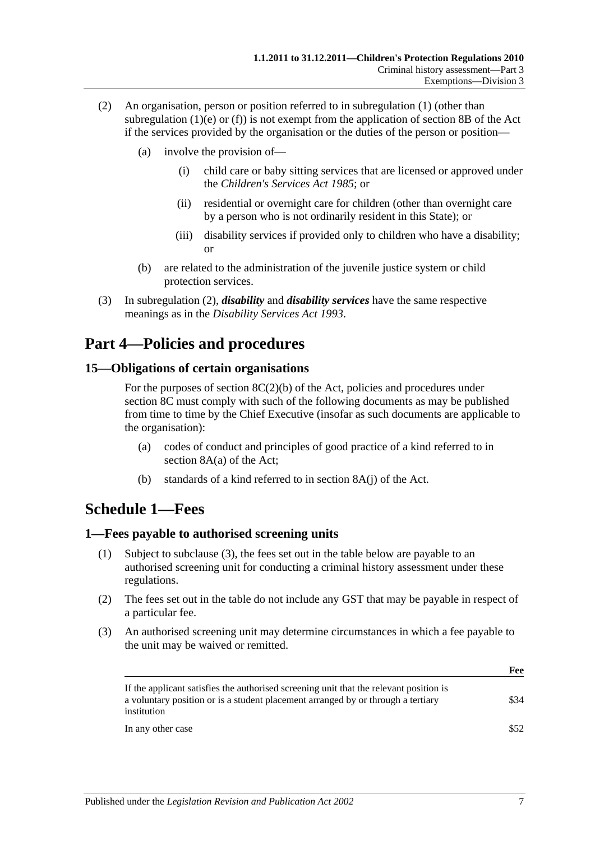- <span id="page-6-4"></span>(2) An organisation, person or position referred to in [subregulation](#page-5-2) (1) (other than [subregulation](#page-5-3)  $(1)(e)$  or  $(f)$ ) is not exempt from the application of section 8B of the Act if the services provided by the organisation or the duties of the person or position—
	- (a) involve the provision of—
		- (i) child care or baby sitting services that are licensed or approved under the *[Children's Services Act](http://www.legislation.sa.gov.au/index.aspx?action=legref&type=act&legtitle=Childrens%20Services%20Act%201985) 1985*; or
		- (ii) residential or overnight care for children (other than overnight care by a person who is not ordinarily resident in this State); or
		- (iii) disability services if provided only to children who have a disability; or
	- (b) are related to the administration of the juvenile justice system or child protection services.
- (3) In [subregulation](#page-6-4) (2), *disability* and *disability services* have the same respective meanings as in the *[Disability Services Act](http://www.legislation.sa.gov.au/index.aspx?action=legref&type=act&legtitle=Disability%20Services%20Act%201993) 1993*.

## <span id="page-6-0"></span>**Part 4—Policies and procedures**

### <span id="page-6-1"></span>**15—Obligations of certain organisations**

For the purposes of section  $8C(2)(b)$  of the Act, policies and procedures under section 8C must comply with such of the following documents as may be published from time to time by the Chief Executive (insofar as such documents are applicable to the organisation):

- (a) codes of conduct and principles of good practice of a kind referred to in section 8A(a) of the Act;
- (b) standards of a kind referred to in section 8A(j) of the Act.

## <span id="page-6-2"></span>**Schedule 1—Fees**

### <span id="page-6-3"></span>**1—Fees payable to authorised screening units**

- (1) Subject to [subclause](#page-6-5) (3), the fees set out in the table below are payable to an authorised screening unit for conducting a criminal history assessment under these regulations.
- (2) The fees set out in the table do not include any GST that may be payable in respect of a particular fee.
- <span id="page-6-5"></span>(3) An authorised screening unit may determine circumstances in which a fee payable to the unit may be waived or remitted.

|                                                                                                                                                                                           | Fee  |
|-------------------------------------------------------------------------------------------------------------------------------------------------------------------------------------------|------|
| If the applicant satisfies the authorised screening unit that the relevant position is<br>a voluntary position or is a student placement arranged by or through a tertiary<br>institution | \$34 |
| In any other case                                                                                                                                                                         | \$52 |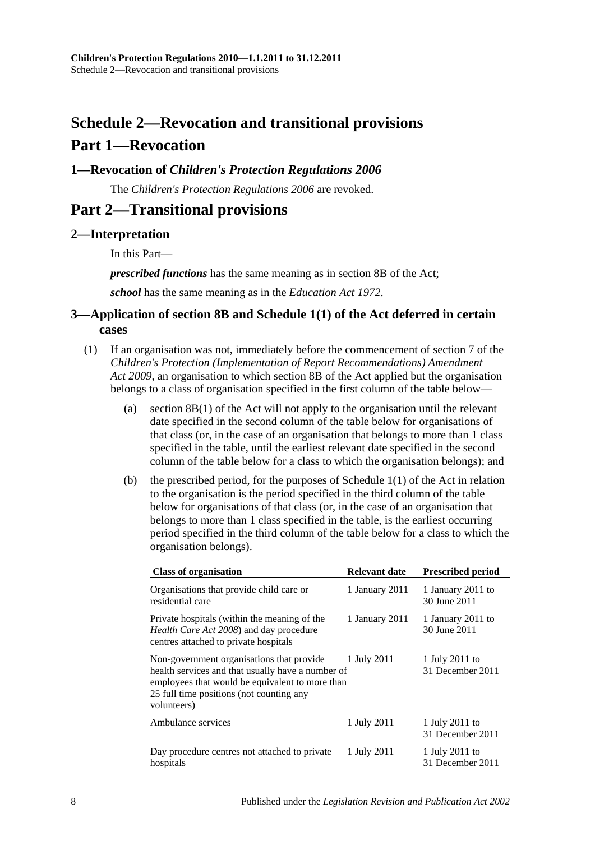# <span id="page-7-0"></span>**Schedule 2—Revocation and transitional provisions Part 1—Revocation**

## <span id="page-7-1"></span>**1—Revocation of** *Children's Protection Regulations 2006*

The *[Children's Protection Regulations](http://www.legislation.sa.gov.au/index.aspx?action=legref&type=subordleg&legtitle=Childrens%20Protection%20Regulations%202006) 2006* are revoked.

## **Part 2—Transitional provisions**

## <span id="page-7-2"></span>**2—Interpretation**

In this Part—

*prescribed functions* has the same meaning as in section 8B of the Act;

*school* has the same meaning as in the *[Education Act](http://www.legislation.sa.gov.au/index.aspx?action=legref&type=act&legtitle=Education%20Act%201972) 1972*.

## <span id="page-7-3"></span>**3—Application of section 8B and Schedule 1(1) of the Act deferred in certain cases**

- <span id="page-7-4"></span>(1) If an organisation was not, immediately before the commencement of section 7 of the *[Children's Protection \(Implementation of Report Recommendations\) Amendment](http://www.legislation.sa.gov.au/index.aspx?action=legref&type=act&legtitle=Childrens%20Protection%20(Implementation%20of%20Report%20Recommendations)%20Amendment%20Act%202009)  Act [2009](http://www.legislation.sa.gov.au/index.aspx?action=legref&type=act&legtitle=Childrens%20Protection%20(Implementation%20of%20Report%20Recommendations)%20Amendment%20Act%202009)*, an organisation to which section 8B of the Act applied but the organisation belongs to a class of organisation specified in the first column of the table below—
	- (a) section 8B(1) of the Act will not apply to the organisation until the relevant date specified in the second column of the table below for organisations of that class (or, in the case of an organisation that belongs to more than 1 class specified in the table, until the earliest relevant date specified in the second column of the table below for a class to which the organisation belongs); and
	- (b) the prescribed period, for the purposes of Schedule 1(1) of the Act in relation to the organisation is the period specified in the third column of the table below for organisations of that class (or, in the case of an organisation that belongs to more than 1 class specified in the table, is the earliest occurring period specified in the third column of the table below for a class to which the organisation belongs).

| <b>Class of organisation</b>                                                                                                                                                                                 | <b>Relevant date</b> | <b>Prescribed period</b>           |
|--------------------------------------------------------------------------------------------------------------------------------------------------------------------------------------------------------------|----------------------|------------------------------------|
| Organisations that provide child care or<br>residential care                                                                                                                                                 | 1 January 2011       | 1 January 2011 to<br>30 June 2011  |
| Private hospitals (within the meaning of the<br><i>Health Care Act 2008</i> ) and day procedure<br>centres attached to private hospitals                                                                     | 1 January 2011       | 1 January 2011 to<br>30 June 2011  |
| Non-government organisations that provide<br>health services and that usually have a number of<br>employees that would be equivalent to more than<br>25 full time positions (not counting any<br>volunteers) | 1 July 2011          | 1 July 2011 to<br>31 December 2011 |
| Ambulance services                                                                                                                                                                                           | 1 July 2011          | 1 July 2011 to<br>31 December 2011 |
| Day procedure centres not attached to private<br>hospitals                                                                                                                                                   | 1 July 2011          | 1 July 2011 to<br>31 December 2011 |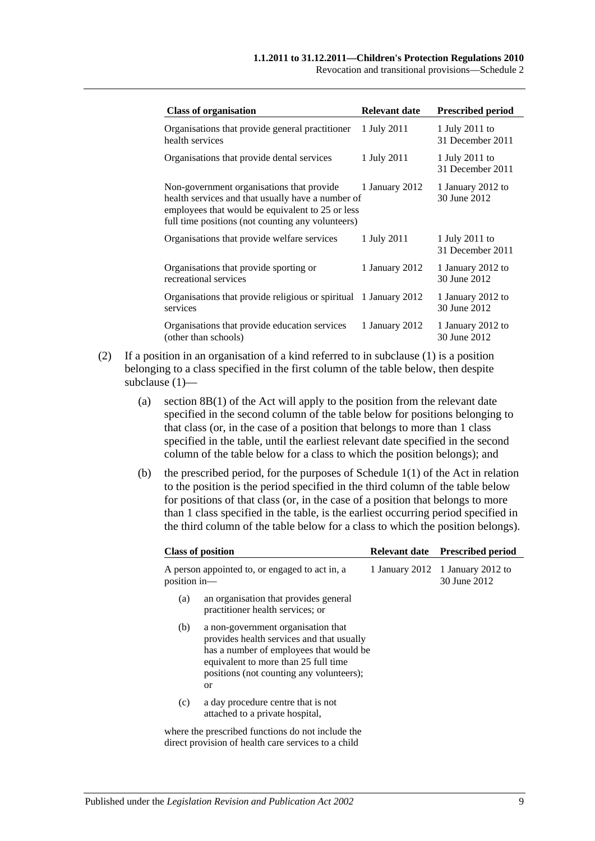Revocation and transitional provisions—Schedule 2

| <b>Class of organisation</b>                                                                                                                                                                            | <b>Relevant date</b> | <b>Prescribed period</b>           |
|---------------------------------------------------------------------------------------------------------------------------------------------------------------------------------------------------------|----------------------|------------------------------------|
| Organisations that provide general practitioner<br>health services                                                                                                                                      | 1 July 2011          | 1 July 2011 to<br>31 December 2011 |
| Organisations that provide dental services                                                                                                                                                              | 1 July 2011          | 1 July 2011 to<br>31 December 2011 |
| Non-government organisations that provide<br>health services and that usually have a number of<br>employees that would be equivalent to 25 or less<br>full time positions (not counting any volunteers) | 1 January 2012       | 1 January 2012 to<br>30 June 2012  |
| Organisations that provide welfare services                                                                                                                                                             | 1 July 2011          | 1 July 2011 to<br>31 December 2011 |
| Organisations that provide sporting or<br>recreational services                                                                                                                                         | 1 January 2012       | 1 January 2012 to<br>30 June 2012  |
| Organisations that provide religious or spiritual 1 January 2012<br>services                                                                                                                            |                      | 1 January 2012 to<br>30 June 2012  |
| Organisations that provide education services<br>(other than schools)                                                                                                                                   | 1 January 2012       | 1 January 2012 to<br>30 June 2012  |

- (2) If a position in an organisation of a kind referred to in [subclause](#page-7-4) (1) is a position belonging to a class specified in the first column of the table below, then despite [subclause](#page-7-4) (1)—
	- (a) section 8B(1) of the Act will apply to the position from the relevant date specified in the second column of the table below for positions belonging to that class (or, in the case of a position that belongs to more than 1 class specified in the table, until the earliest relevant date specified in the second column of the table below for a class to which the position belongs); and
	- (b) the prescribed period, for the purposes of Schedule 1(1) of the Act in relation to the position is the period specified in the third column of the table below for positions of that class (or, in the case of a position that belongs to more than 1 class specified in the table, is the earliest occurring period specified in the third column of the table below for a class to which the position belongs).

| <b>Class of position</b>                                                                                                                                                                                                               | <b>Relevant date</b> | <b>Prescribed period</b>                         |  |
|----------------------------------------------------------------------------------------------------------------------------------------------------------------------------------------------------------------------------------------|----------------------|--------------------------------------------------|--|
| A person appointed to, or engaged to act in, a<br>position in-                                                                                                                                                                         |                      | 1 January 2012 1 January 2012 to<br>30 June 2012 |  |
| an organisation that provides general<br>(a)<br>practitioner health services; or                                                                                                                                                       |                      |                                                  |  |
| (b)<br>a non-government organisation that<br>provides health services and that usually<br>has a number of employees that would be<br>equivalent to more than 25 full time<br>positions (not counting any volunteers);<br><sub>or</sub> |                      |                                                  |  |
| a day procedure centre that is not<br>(c)<br>attached to a private hospital,                                                                                                                                                           |                      |                                                  |  |
| where the prescribed functions do not include the<br>direct provision of health care services to a child                                                                                                                               |                      |                                                  |  |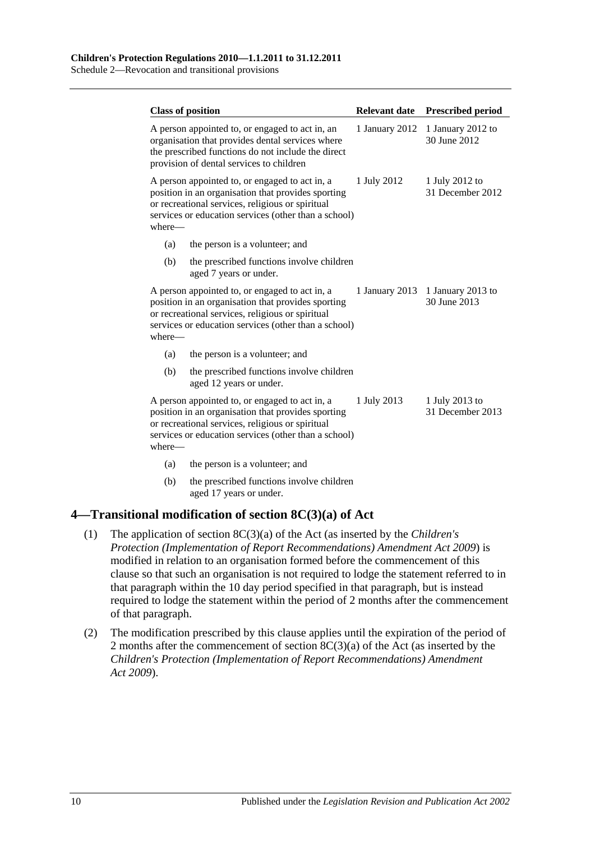Schedule 2—Revocation and transitional provisions

|        | <b>Class of position</b>                                                                                                                                                                                         | <b>Relevant date</b> | <b>Prescribed period</b>           |
|--------|------------------------------------------------------------------------------------------------------------------------------------------------------------------------------------------------------------------|----------------------|------------------------------------|
|        | A person appointed to, or engaged to act in, an<br>organisation that provides dental services where<br>the prescribed functions do not include the direct<br>provision of dental services to children            | 1 January 2012       | 1 January 2012 to<br>30 June 2012  |
| where- | A person appointed to, or engaged to act in, a<br>position in an organisation that provides sporting<br>or recreational services, religious or spiritual<br>services or education services (other than a school) | 1 July 2012          | 1 July 2012 to<br>31 December 2012 |
| (a)    | the person is a volunteer; and                                                                                                                                                                                   |                      |                                    |
| (b)    | the prescribed functions involve children<br>aged 7 years or under.                                                                                                                                              |                      |                                    |
| where- | A person appointed to, or engaged to act in, a<br>position in an organisation that provides sporting<br>or recreational services, religious or spiritual<br>services or education services (other than a school) | 1 January 2013       | 1 January 2013 to<br>30 June 2013  |
| (a)    | the person is a volunteer; and                                                                                                                                                                                   |                      |                                    |
| (b)    | the prescribed functions involve children<br>aged 12 years or under.                                                                                                                                             |                      |                                    |
| where— | A person appointed to, or engaged to act in, a<br>position in an organisation that provides sporting<br>or recreational services, religious or spiritual<br>services or education services (other than a school) | 1 July 2013          | 1 July 2013 to<br>31 December 2013 |
| (a)    | the person is a volunteer; and                                                                                                                                                                                   |                      |                                    |
| (b)    | the prescribed functions involve children                                                                                                                                                                        |                      |                                    |

aged 17 years or under.

### <span id="page-9-0"></span>**4—Transitional modification of section 8C(3)(a) of Act**

- (1) The application of section 8C(3)(a) of the Act (as inserted by the *[Children's](http://www.legislation.sa.gov.au/index.aspx?action=legref&type=act&legtitle=Childrens%20Protection%20(Implementation%20of%20Report%20Recommendations)%20Amendment%20Act%202009)  [Protection \(Implementation of Report Recommendations\) Amendment Act](http://www.legislation.sa.gov.au/index.aspx?action=legref&type=act&legtitle=Childrens%20Protection%20(Implementation%20of%20Report%20Recommendations)%20Amendment%20Act%202009) 2009*) is modified in relation to an organisation formed before the commencement of this clause so that such an organisation is not required to lodge the statement referred to in that paragraph within the 10 day period specified in that paragraph, but is instead required to lodge the statement within the period of 2 months after the commencement of that paragraph.
- (2) The modification prescribed by this clause applies until the expiration of the period of 2 months after the commencement of section 8C(3)(a) of the Act (as inserted by the *[Children's Protection \(Implementation of Report Recommendations\) Amendment](http://www.legislation.sa.gov.au/index.aspx?action=legref&type=act&legtitle=Childrens%20Protection%20(Implementation%20of%20Report%20Recommendations)%20Amendment%20Act%202009)  Act [2009](http://www.legislation.sa.gov.au/index.aspx?action=legref&type=act&legtitle=Childrens%20Protection%20(Implementation%20of%20Report%20Recommendations)%20Amendment%20Act%202009)*).